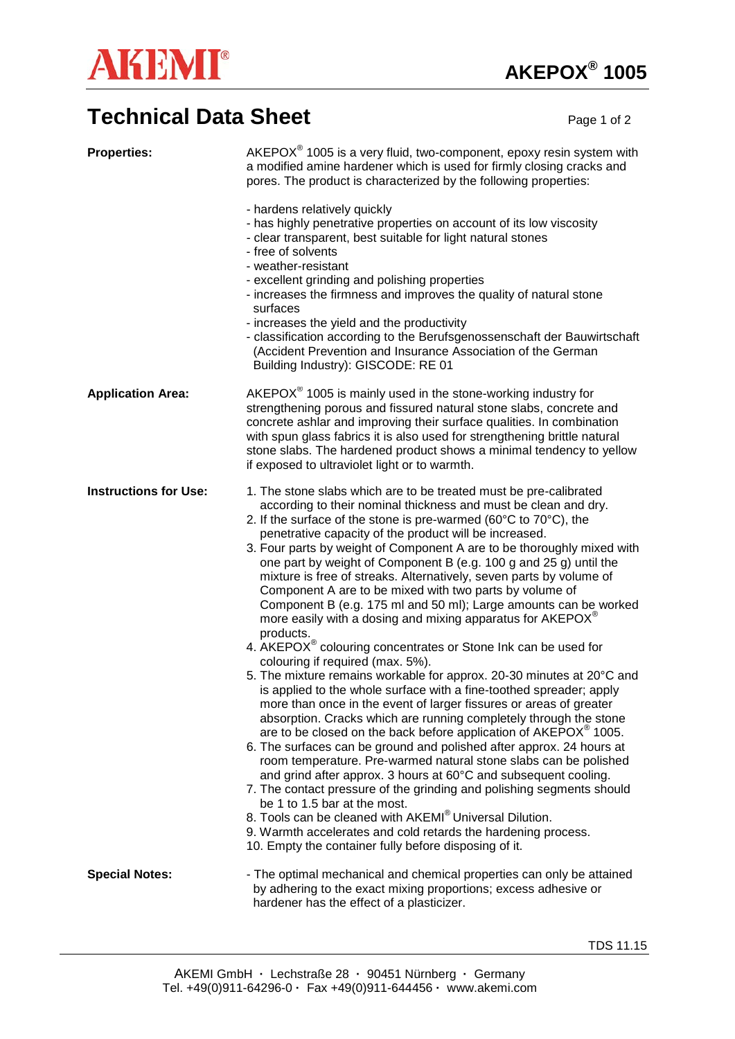

## **Technical Data Sheet** Page 1 of 2

| <b>Properties:</b>           | $AKEPOX®$ 1005 is a very fluid, two-component, epoxy resin system with<br>a modified amine hardener which is used for firmly closing cracks and<br>pores. The product is characterized by the following properties:<br>- hardens relatively quickly<br>- has highly penetrative properties on account of its low viscosity<br>- clear transparent, best suitable for light natural stones<br>- free of solvents<br>- weather-resistant<br>- excellent grinding and polishing properties<br>- increases the firmness and improves the quality of natural stone<br>surfaces<br>- increases the yield and the productivity<br>- classification according to the Berufsgenossenschaft der Bauwirtschaft<br>(Accident Prevention and Insurance Association of the German<br>Building Industry): GISCODE: RE 01                                                                                                                                                                                                                                                                                                                                                                                                                                                                                                                                                                                                                                                                                                                                                                                                                                                                                                                |
|------------------------------|--------------------------------------------------------------------------------------------------------------------------------------------------------------------------------------------------------------------------------------------------------------------------------------------------------------------------------------------------------------------------------------------------------------------------------------------------------------------------------------------------------------------------------------------------------------------------------------------------------------------------------------------------------------------------------------------------------------------------------------------------------------------------------------------------------------------------------------------------------------------------------------------------------------------------------------------------------------------------------------------------------------------------------------------------------------------------------------------------------------------------------------------------------------------------------------------------------------------------------------------------------------------------------------------------------------------------------------------------------------------------------------------------------------------------------------------------------------------------------------------------------------------------------------------------------------------------------------------------------------------------------------------------------------------------------------------------------------------------|
| <b>Application Area:</b>     | $AKEPOX®$ 1005 is mainly used in the stone-working industry for<br>strengthening porous and fissured natural stone slabs, concrete and<br>concrete ashlar and improving their surface qualities. In combination<br>with spun glass fabrics it is also used for strengthening brittle natural<br>stone slabs. The hardened product shows a minimal tendency to yellow<br>if exposed to ultraviolet light or to warmth.                                                                                                                                                                                                                                                                                                                                                                                                                                                                                                                                                                                                                                                                                                                                                                                                                                                                                                                                                                                                                                                                                                                                                                                                                                                                                                    |
| <b>Instructions for Use:</b> | 1. The stone slabs which are to be treated must be pre-calibrated<br>according to their nominal thickness and must be clean and dry.<br>2. If the surface of the stone is pre-warmed (60°C to 70°C), the<br>penetrative capacity of the product will be increased.<br>3. Four parts by weight of Component A are to be thoroughly mixed with<br>one part by weight of Component B (e.g. 100 g and 25 g) until the<br>mixture is free of streaks. Alternatively, seven parts by volume of<br>Component A are to be mixed with two parts by volume of<br>Component B (e.g. 175 ml and 50 ml); Large amounts can be worked<br>more easily with a dosing and mixing apparatus for AKEPOX <sup>®</sup><br>products.<br>4. AKEPOX <sup>®</sup> colouring concentrates or Stone Ink can be used for<br>colouring if required (max. 5%).<br>5. The mixture remains workable for approx. 20-30 minutes at 20°C and<br>is applied to the whole surface with a fine-toothed spreader; apply<br>more than once in the event of larger fissures or areas of greater<br>absorption. Cracks which are running completely through the stone<br>are to be closed on the back before application of AKEPOX <sup>®</sup> 1005.<br>6. The surfaces can be ground and polished after approx. 24 hours at<br>room temperature. Pre-warmed natural stone slabs can be polished<br>and grind after approx. 3 hours at 60°C and subsequent cooling.<br>7. The contact pressure of the grinding and polishing segments should<br>be 1 to 1.5 bar at the most.<br>8. Tools can be cleaned with AKEMI® Universal Dilution.<br>9. Warmth accelerates and cold retards the hardening process.<br>10. Empty the container fully before disposing of it. |
| <b>Special Notes:</b>        | - The optimal mechanical and chemical properties can only be attained<br>by adhering to the exact mixing proportions; excess adhesive or<br>hardener has the effect of a plasticizer.                                                                                                                                                                                                                                                                                                                                                                                                                                                                                                                                                                                                                                                                                                                                                                                                                                                                                                                                                                                                                                                                                                                                                                                                                                                                                                                                                                                                                                                                                                                                    |